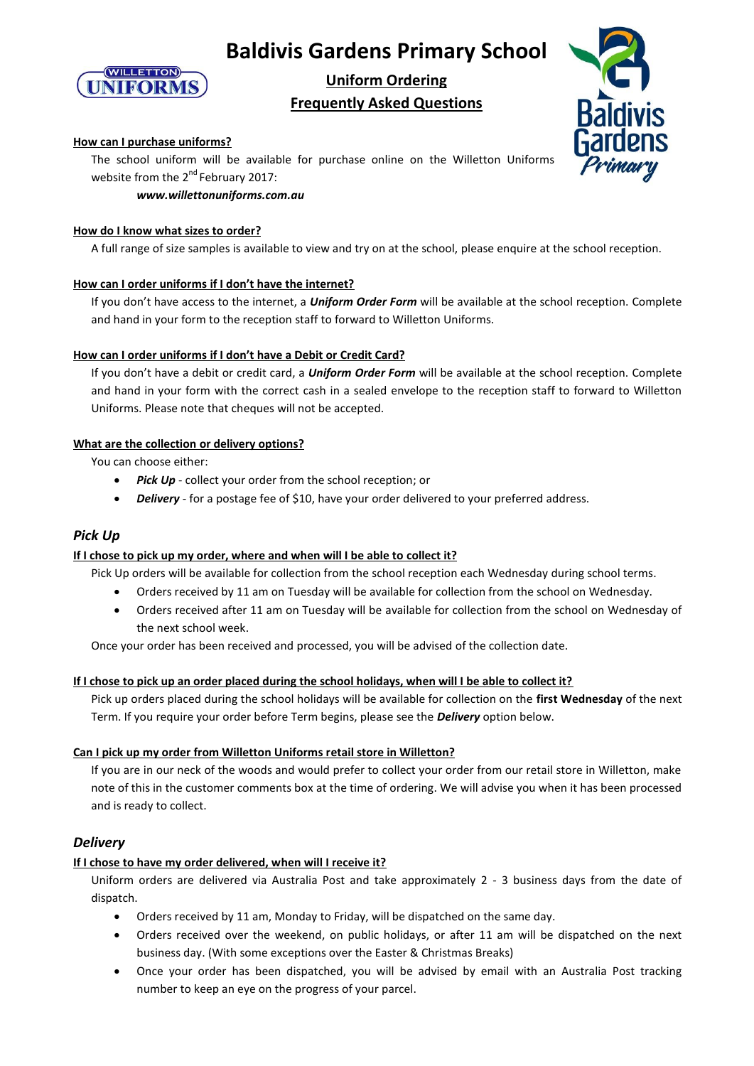



# **Uniform Ordering Frequently Asked Questions**



# **How can I purchase uniforms?**

The school uniform will be available for purchase online on the Willetton Uniforms website from the 2<sup>nd</sup> February 2017:

# *www.willettonuniforms.com.au*

# **How do I know what sizes to order?**

A full range of size samples is available to view and try on at the school, please enquire at the school reception.

# **How can I order uniforms if I don't have the internet?**

If you don't have access to the internet, a *Uniform Order Form* will be available at the school reception. Complete and hand in your form to the reception staff to forward to Willetton Uniforms.

# **How can I order uniforms if I don't have a Debit or Credit Card?**

If you don't have a debit or credit card, a *Uniform Order Form* will be available at the school reception. Complete and hand in your form with the correct cash in a sealed envelope to the reception staff to forward to Willetton Uniforms. Please note that cheques will not be accepted.

# **What are the collection or delivery options?**

You can choose either:

- *Pick Up* collect your order from the school reception; or
- **•** Delivery for a postage fee of \$10, have your order delivered to your preferred address.

# *Pick Up*

# **If I chose to pick up my order, where and when will I be able to collect it?**

Pick Up orders will be available for collection from the school reception each Wednesday during school terms.

- Orders received by 11 am on Tuesday will be available for collection from the school on Wednesday.
- Orders received after 11 am on Tuesday will be available for collection from the school on Wednesday of the next school week.

Once your order has been received and processed, you will be advised of the collection date.

#### **If I chose to pick up an order placed during the school holidays, when will I be able to collect it?**

Pick up orders placed during the school holidays will be available for collection on the **first Wednesday** of the next Term. If you require your order before Term begins, please see the *Delivery* option below.

#### **Can I pick up my order from Willetton Uniforms retail store in Willetton?**

If you are in our neck of the woods and would prefer to collect your order from our retail store in Willetton, make note of this in the customer comments box at the time of ordering. We will advise you when it has been processed and is ready to collect.

# *Delivery*

# **If I chose to have my order delivered, when will I receive it?**

Uniform orders are delivered via Australia Post and take approximately 2 - 3 business days from the date of dispatch.

- Orders received by 11 am, Monday to Friday, will be dispatched on the same day.
- Orders received over the weekend, on public holidays, or after 11 am will be dispatched on the next business day. (With some exceptions over the Easter & Christmas Breaks)
- Once your order has been dispatched, you will be advised by email with an Australia Post tracking number to keep an eye on the progress of your parcel.